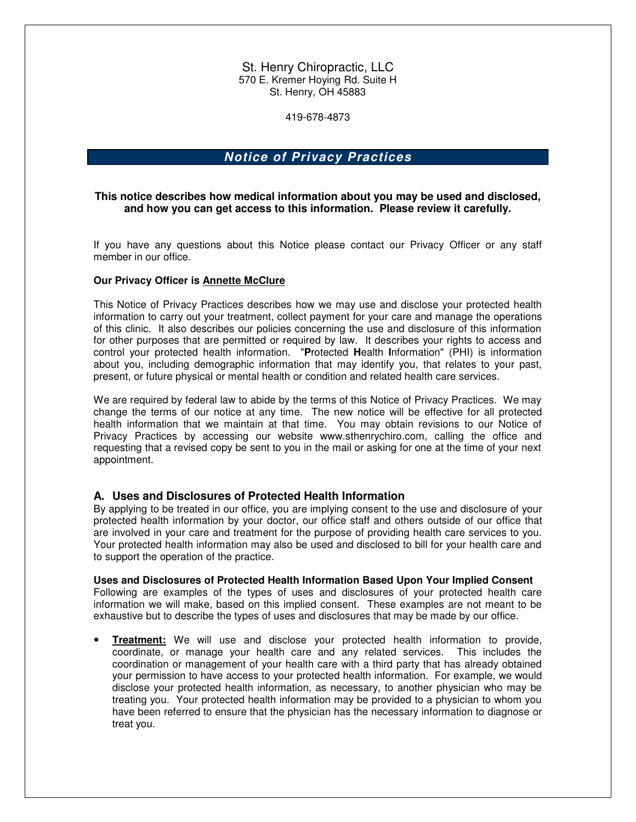# St. Henry Chiropractic, LLC 570 E. Kremer Hoying Rd. Suite H St. Henry, OH 45883

#### 419-678-4873

# **Notice of Privacy Practices**

# **This notice describes how medical information about you may be used and disclosed, and how you can get access to this information. Please review it carefully.**

If you have any questions about this Notice please contact our Privacy Officer or any staff member in our office.

#### **Our Privacy Officer is Annette McClure**

This Notice of Privacy Practices describes how we may use and disclose your protected health information to carry out your treatment, collect payment for your care and manage the operations of this clinic. It also describes our policies concerning the use and disclosure of this information for other purposes that are permitted or required by law. It describes your rights to access and control your protected health information. "**P**rotected **H**ealth **I**nformation" (PHI) is information about you, including demographic information that may identify you, that relates to your past, present, or future physical or mental health or condition and related health care services.

We are required by federal law to abide by the terms of this Notice of Privacy Practices. We may change the terms of our notice at any time. The new notice will be effective for all protected health information that we maintain at that time. You may obtain revisions to our Notice of Privacy Practices by accessing our website www.sthenrychiro.com, calling the office and requesting that a revised copy be sent to you in the mail or asking for one at the time of your next appointment.

### **A. Uses and Disclosures of Protected Health Information**

By applying to be treated in our office, you are implying consent to the use and disclosure of your protected health information by your doctor, our office staff and others outside of our office that are involved in your care and treatment for the purpose of providing health care services to you. Your protected health information may also be used and disclosed to bill for your health care and to support the operation of the practice.

#### **Uses and Disclosures of Protected Health Information Based Upon Your Implied Consent**

Following are examples of the types of uses and disclosures of your protected health care information we will make, based on this implied consent. These examples are not meant to be exhaustive but to describe the types of uses and disclosures that may be made by our office.

 **Treatment:** We will use and disclose your protected health information to provide, coordinate, or manage your health care and any related services. This includes the coordination or management of your health care with a third party that has already obtained your permission to have access to your protected health information. For example, we would disclose your protected health information, as necessary, to another physician who may be treating you. Your protected health information may be provided to a physician to whom you have been referred to ensure that the physician has the necessary information to diagnose or treat you.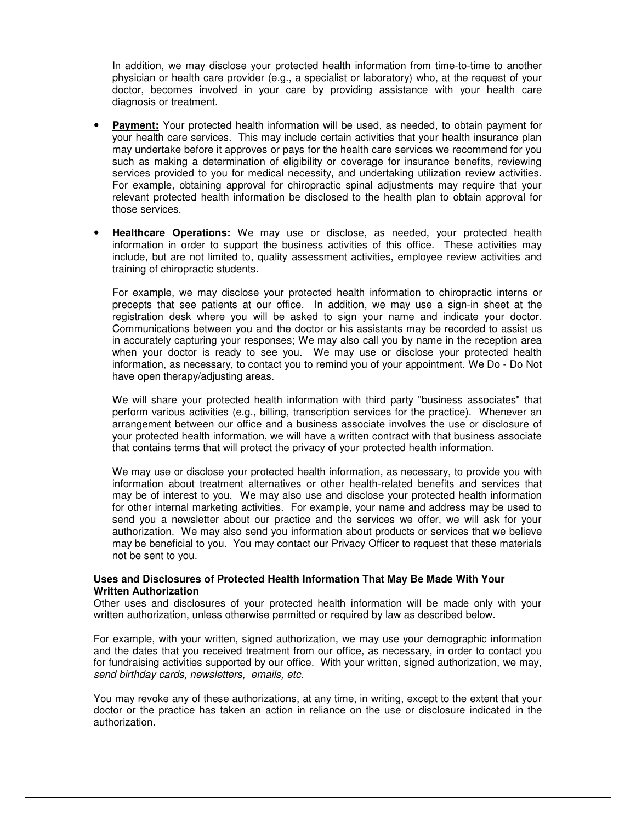In addition, we may disclose your protected health information from time-to-time to another physician or health care provider (e.g., a specialist or laboratory) who, at the request of your doctor, becomes involved in your care by providing assistance with your health care diagnosis or treatment.

- **Payment:** Your protected health information will be used, as needed, to obtain payment for your health care services. This may include certain activities that your health insurance plan may undertake before it approves or pays for the health care services we recommend for you such as making a determination of eligibility or coverage for insurance benefits, reviewing services provided to you for medical necessity, and undertaking utilization review activities. For example, obtaining approval for chiropractic spinal adjustments may require that your relevant protected health information be disclosed to the health plan to obtain approval for those services.
- **Healthcare Operations:** We may use or disclose, as needed, your protected health information in order to support the business activities of this office. These activities may include, but are not limited to, quality assessment activities, employee review activities and training of chiropractic students.

For example, we may disclose your protected health information to chiropractic interns or precepts that see patients at our office. In addition, we may use a sign-in sheet at the registration desk where you will be asked to sign your name and indicate your doctor. Communications between you and the doctor or his assistants may be recorded to assist us in accurately capturing your responses; We may also call you by name in the reception area when your doctor is ready to see you. We may use or disclose your protected health information, as necessary, to contact you to remind you of your appointment. We Do - Do Not have open therapy/adjusting areas.

We will share your protected health information with third party "business associates" that perform various activities (e.g., billing, transcription services for the practice). Whenever an arrangement between our office and a business associate involves the use or disclosure of your protected health information, we will have a written contract with that business associate that contains terms that will protect the privacy of your protected health information.

We may use or disclose your protected health information, as necessary, to provide you with information about treatment alternatives or other health-related benefits and services that may be of interest to you. We may also use and disclose your protected health information for other internal marketing activities. For example, your name and address may be used to send you a newsletter about our practice and the services we offer, we will ask for your authorization. We may also send you information about products or services that we believe may be beneficial to you. You may contact our Privacy Officer to request that these materials not be sent to you.

### **Uses and Disclosures of Protected Health Information That May Be Made With Your Written Authorization**

Other uses and disclosures of your protected health information will be made only with your written authorization, unless otherwise permitted or required by law as described below.

For example, with your written, signed authorization, we may use your demographic information and the dates that you received treatment from our office, as necessary, in order to contact you for fundraising activities supported by our office. With your written, signed authorization, we may, send birthday cards, newsletters, emails, etc.

You may revoke any of these authorizations, at any time, in writing, except to the extent that your doctor or the practice has taken an action in reliance on the use or disclosure indicated in the authorization.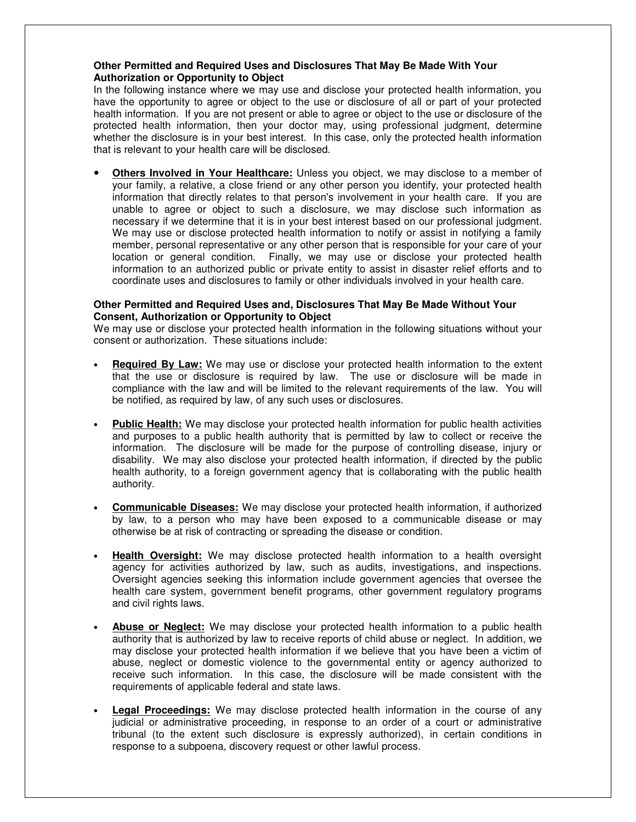### **Other Permitted and Required Uses and Disclosures That May Be Made With Your Authorization or Opportunity to Object**

In the following instance where we may use and disclose your protected health information, you have the opportunity to agree or object to the use or disclosure of all or part of your protected health information. If you are not present or able to agree or object to the use or disclosure of the protected health information, then your doctor may, using professional judgment, determine whether the disclosure is in your best interest. In this case, only the protected health information that is relevant to your health care will be disclosed.

 **Others Involved in Your Healthcare:** Unless you object, we may disclose to a member of your family, a relative, a close friend or any other person you identify, your protected health information that directly relates to that person's involvement in your health care. If you are unable to agree or object to such a disclosure, we may disclose such information as necessary if we determine that it is in your best interest based on our professional judgment. We may use or disclose protected health information to notify or assist in notifying a family member, personal representative or any other person that is responsible for your care of your location or general condition. Finally, we may use or disclose your protected health information to an authorized public or private entity to assist in disaster relief efforts and to coordinate uses and disclosures to family or other individuals involved in your health care.

### **Other Permitted and Required Uses and, Disclosures That May Be Made Without Your Consent, Authorization or Opportunity to Object**

We may use or disclose your protected health information in the following situations without your consent or authorization. These situations include:

- **Required By Law:** We may use or disclose your protected health information to the extent that the use or disclosure is required by law. The use or disclosure will be made in compliance with the law and will be limited to the relevant requirements of the law. You will be notified, as required by law, of any such uses or disclosures.
- **Public Health:** We may disclose your protected health information for public health activities and purposes to a public health authority that is permitted by law to collect or receive the information. The disclosure will be made for the purpose of controlling disease, injury or disability. We may also disclose your protected health information, if directed by the public health authority, to a foreign government agency that is collaborating with the public health authority.
- **Communicable Diseases:** We may disclose your protected health information, if authorized by law, to a person who may have been exposed to a communicable disease or may otherwise be at risk of contracting or spreading the disease or condition.
- **Health Oversight:** We may disclose protected health information to a health oversight agency for activities authorized by law, such as audits, investigations, and inspections. Oversight agencies seeking this information include government agencies that oversee the health care system, government benefit programs, other government regulatory programs and civil rights laws.
- **Abuse or Neglect:** We may disclose your protected health information to a public health authority that is authorized by law to receive reports of child abuse or neglect. In addition, we may disclose your protected health information if we believe that you have been a victim of abuse, neglect or domestic violence to the governmental entity or agency authorized to receive such information. In this case, the disclosure will be made consistent with the requirements of applicable federal and state laws.
- **Legal Proceedings:** We may disclose protected health information in the course of any judicial or administrative proceeding, in response to an order of a court or administrative tribunal (to the extent such disclosure is expressly authorized), in certain conditions in response to a subpoena, discovery request or other lawful process.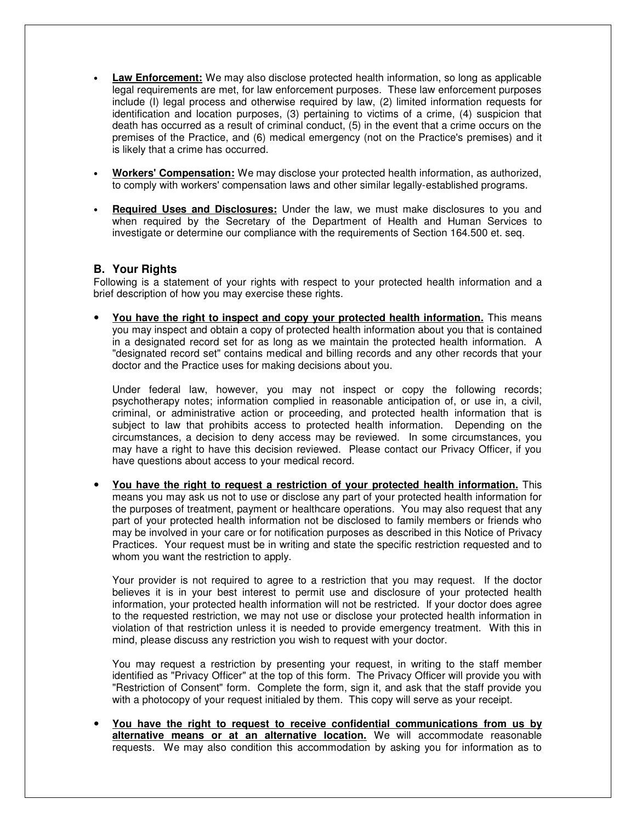- **Law Enforcement:** We may also disclose protected health information, so long as applicable legal requirements are met, for law enforcement purposes. These law enforcement purposes include (I) legal process and otherwise required by law, (2) limited information requests for identification and location purposes, (3) pertaining to victims of a crime, (4) suspicion that death has occurred as a result of criminal conduct, (5) in the event that a crime occurs on the premises of the Practice, and (6) medical emergency (not on the Practice's premises) and it is likely that a crime has occurred.
- **Workers' Compensation:** We may disclose your protected health information, as authorized, to comply with workers' compensation laws and other similar legally-established programs.
- **Required Uses and Disclosures:** Under the law, we must make disclosures to you and when required by the Secretary of the Department of Health and Human Services to investigate or determine our compliance with the requirements of Section 164.500 et. seq.

# **B. Your Rights**

Following is a statement of your rights with respect to your protected health information and a brief description of how you may exercise these rights.

 **You have the right to inspect and copy your protected health information.** This means you may inspect and obtain a copy of protected health information about you that is contained in a designated record set for as long as we maintain the protected health information. A "designated record set" contains medical and billing records and any other records that your doctor and the Practice uses for making decisions about you.

Under federal law, however, you may not inspect or copy the following records; psychotherapy notes; information complied in reasonable anticipation of, or use in, a civil, criminal, or administrative action or proceeding, and protected health information that is subject to law that prohibits access to protected health information. Depending on the circumstances, a decision to deny access may be reviewed. In some circumstances, you may have a right to have this decision reviewed. Please contact our Privacy Officer, if you have questions about access to your medical record.

 **You have the right to request a restriction of your protected health information.** This means you may ask us not to use or disclose any part of your protected health information for the purposes of treatment, payment or healthcare operations. You may also request that any part of your protected health information not be disclosed to family members or friends who may be involved in your care or for notification purposes as described in this Notice of Privacy Practices. Your request must be in writing and state the specific restriction requested and to whom you want the restriction to apply.

Your provider is not required to agree to a restriction that you may request. If the doctor believes it is in your best interest to permit use and disclosure of your protected health information, your protected health information will not be restricted. If your doctor does agree to the requested restriction, we may not use or disclose your protected health information in violation of that restriction unless it is needed to provide emergency treatment. With this in mind, please discuss any restriction you wish to request with your doctor.

You may request a restriction by presenting your request, in writing to the staff member identified as "Privacy Officer" at the top of this form. The Privacy Officer will provide you with "Restriction of Consent" form. Complete the form, sign it, and ask that the staff provide you with a photocopy of your request initialed by them. This copy will serve as your receipt.

 **You have the right to request to receive confidential communications from us by alternative means or at an alternative location.** We will accommodate reasonable requests. We may also condition this accommodation by asking you for information as to